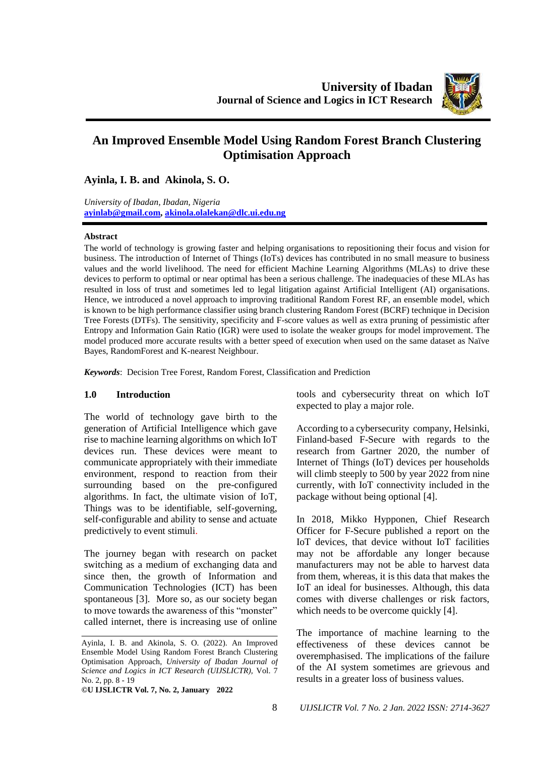

# **An Improved Ensemble Model Using Random Forest Branch Clustering Optimisation Approach**

**Ayinla, I. B. and Akinola, S. O.**

*University of Ibadan, Ibadan, Nigeria* **[ayinlab@gmail.com,](mailto:ayinlab@gmail.com) [akinola.olalekan@dlc.ui.edu.ng](mailto:akinola.olalekan@dlc.ui.edu.ng)**

#### **Abstract**

The world of technology is growing faster and helping organisations to repositioning their focus and vision for business. The introduction of Internet of Things (IoTs) devices has contributed in no small measure to business values and the world livelihood. The need for efficient Machine Learning Algorithms (MLAs) to drive these devices to perform to optimal or near optimal has been a serious challenge. The inadequacies of these MLAs has resulted in loss of trust and sometimes led to legal litigation against Artificial Intelligent (AI) organisations. Hence, we introduced a novel approach to improving traditional Random Forest RF, an ensemble model, which is known to be high performance classifier using branch clustering Random Forest (BCRF) technique in Decision Tree Forests (DTFs). The sensitivity, specificity and F-score values as well as extra pruning of pessimistic after Entropy and Information Gain Ratio (IGR) were used to isolate the weaker groups for model improvement. The model produced more accurate results with a better speed of execution when used on the same dataset as Naïve Bayes, RandomForest and K-nearest Neighbour.

*Keywords*: Decision Tree Forest, Random Forest, Classification and Prediction

#### **1.0 Introduction**

The world of technology gave birth to the generation of Artificial Intelligence which gave rise to machine learning algorithms on which IoT devices run. These devices were meant to communicate appropriately with their immediate environment, respond to reaction from their surrounding based on the pre-configured algorithms. In fact, the ultimate vision of IoT, Things was to be identifiable, self-governing, self-configurable and ability to sense and actuate predictively to event stimuli.

The journey began with research on packet switching as a medium of exchanging data and since then, the growth of Information and Communication Technologies (ICT) has been spontaneous [3]. More so, as our society began to move towards the awareness of this "monster" called internet, there is increasing use of online

**©U IJSLICTR Vol. 7, No. 2, January 2022** 

tools and cybersecurity threat on which IoT expected to play a major role.

According to a cybersecurity company, Helsinki, Finland-based F-Secure with regards to the research from Gartner 2020, the number of Internet of Things (IoT) devices per households will climb steeply to 500 by year 2022 from nine currently, with IoT connectivity included in the package without being optional [4].

In 2018, Mikko Hypponen, Chief Research Officer for F-Secure published a report on the IoT devices, that device without IoT facilities may not be affordable any longer because manufacturers may not be able to harvest data from them, whereas, it is this data that makes the IoT an ideal for businesses. Although, this data comes with diverse challenges or risk factors, which needs to be overcome quickly [4].

The importance of machine learning to the effectiveness of these devices cannot be overemphasised. The implications of the failure of the AI system sometimes are grievous and results in a greater loss of business values.

Ayinla, I. B. and Akinola, S. O. (2022). An Improved Ensemble Model Using Random Forest Branch Clustering Optimisation Approach, *University of Ibadan Journal of Science and Logics in ICT Research (UIJSLICTR),* Vol. 7 No. 2, pp. 8 - 19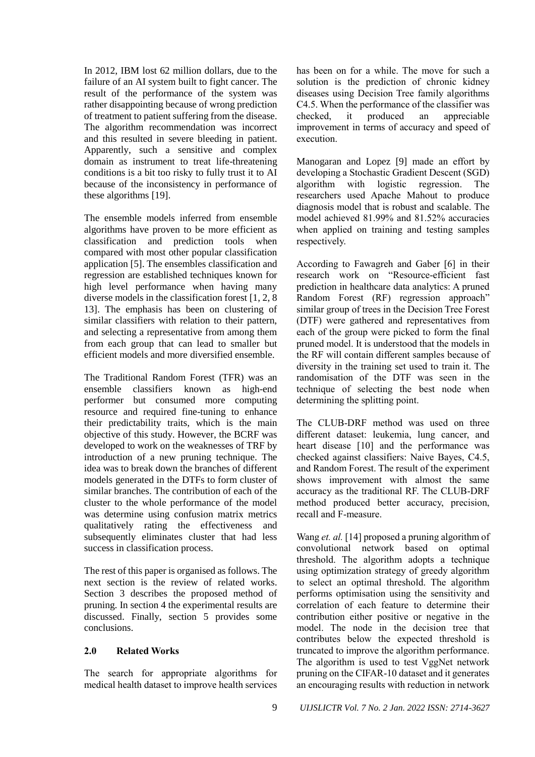In 2012, IBM lost 62 million dollars, due to the failure of an AI system built to fight cancer. The result of the performance of the system was rather disappointing because of wrong prediction of treatment to patient suffering from the disease. The algorithm recommendation was incorrect and this resulted in severe bleeding in patient. Apparently, such a sensitive and complex domain as instrument to treat life-threatening conditions is a bit too risky to fully trust it to AI because of the inconsistency in performance of these algorithms [19].

The ensemble models inferred from ensemble algorithms have proven to be more efficient as classification and prediction tools when compared with most other popular classification application [5]. The ensembles classification and regression are established techniques known for high level performance when having many diverse models in the classification forest [1, 2, 8 13]. The emphasis has been on clustering of similar classifiers with relation to their pattern, and selecting a representative from among them from each group that can lead to smaller but efficient models and more diversified ensemble.

The Traditional Random Forest (TFR) was an ensemble classifiers known as high-end performer but consumed more computing resource and required fine-tuning to enhance their predictability traits, which is the main objective of this study. However, the BCRF was developed to work on the weaknesses of TRF by introduction of a new pruning technique. The idea was to break down the branches of different models generated in the DTFs to form cluster of similar branches. The contribution of each of the cluster to the whole performance of the model was determine using confusion matrix metrics qualitatively rating the effectiveness and subsequently eliminates cluster that had less success in classification process.

The rest of this paper is organised as follows. The next section is the review of related works. Section 3 describes the proposed method of pruning. In section 4 the experimental results are discussed. Finally, section 5 provides some conclusions.

### **2.0 Related Works**

The search for appropriate algorithms for medical health dataset to improve health services has been on for a while. The move for such a solution is the prediction of chronic kidney diseases using Decision Tree family algorithms C4.5. When the performance of the classifier was checked, it produced an appreciable improvement in terms of accuracy and speed of execution.

Manogaran and Lopez [9] made an effort by developing a Stochastic Gradient Descent (SGD) algorithm with logistic regression. The researchers used Apache Mahout to produce diagnosis model that is robust and scalable. The model achieved 81.99% and 81.52% accuracies when applied on training and testing samples respectively.

According to Fawagreh and Gaber [6] in their research work on "Resource-efficient fast prediction in healthcare data analytics: A pruned Random Forest (RF) regression approach" similar group of trees in the Decision Tree Forest (DTF) were gathered and representatives from each of the group were picked to form the final pruned model. It is understood that the models in the RF will contain different samples because of diversity in the training set used to train it. The randomisation of the DTF was seen in the technique of selecting the best node when determining the splitting point.

The CLUB-DRF method was used on three different dataset: leukemia, lung cancer, and heart disease [10] and the performance was checked against classifiers: Naive Bayes, C4.5, and Random Forest. The result of the experiment shows improvement with almost the same accuracy as the traditional RF. The CLUB-DRF method produced better accuracy, precision, recall and F-measure.

Wang *et. al.* [14] proposed a pruning algorithm of convolutional network based on optimal threshold. The algorithm adopts a technique using optimization strategy of greedy algorithm to select an optimal threshold. The algorithm performs optimisation using the sensitivity and correlation of each feature to determine their contribution either positive or negative in the model. The node in the decision tree that contributes below the expected threshold is truncated to improve the algorithm performance. The algorithm is used to test VggNet network pruning on the CIFAR-10 dataset and it generates an encouraging results with reduction in network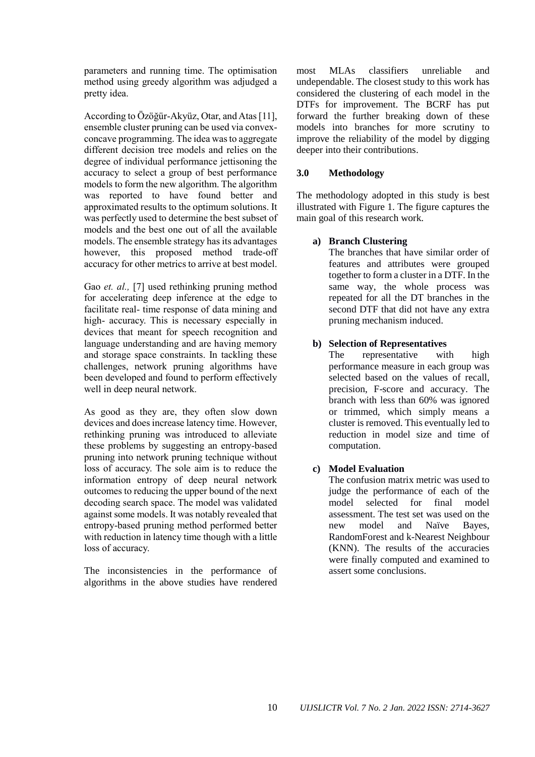parameters and running time. The optimisation method using greedy algorithm was adjudged a pretty idea.

According to Özöğür‐Akyüz, Otar, and Atas [11], ensemble cluster pruning can be used via convexconcave programming. The idea was to aggregate different decision tree models and relies on the degree of individual performance jettisoning the accuracy to select a group of best performance models to form the new algorithm. The algorithm was reported to have found better and approximated results to the optimum solutions. It was perfectly used to determine the best subset of models and the best one out of all the available models. The ensemble strategy has its advantages however, this proposed method trade-off accuracy for other metrics to arrive at best model.

Gao *et. al.,* [7] used rethinking pruning method for accelerating deep inference at the edge to facilitate real- time response of data mining and high- accuracy. This is necessary especially in devices that meant for speech recognition and language understanding and are having memory and storage space constraints. In tackling these challenges, network pruning algorithms have been developed and found to perform effectively well in deep neural network.

As good as they are, they often slow down devices and does increase latency time. However, rethinking pruning was introduced to alleviate these problems by suggesting an entropy-based pruning into network pruning technique without loss of accuracy. The sole aim is to reduce the information entropy of deep neural network outcomes to reducing the upper bound of the next decoding search space. The model was validated against some models. It was notably revealed that entropy-based pruning method performed better with reduction in latency time though with a little loss of accuracy.

The inconsistencies in the performance of algorithms in the above studies have rendered most MLAs classifiers unreliable and undependable. The closest study to this work has considered the clustering of each model in the DTFs for improvement. The BCRF has put forward the further breaking down of these models into branches for more scrutiny to improve the reliability of the model by digging deeper into their contributions.

# **3.0 Methodology**

The methodology adopted in this study is best illustrated with Figure 1. The figure captures the main goal of this research work.

# **a) Branch Clustering**

The branches that have similar order of features and attributes were grouped together to form a cluster in a DTF. In the same way, the whole process was repeated for all the DT branches in the second DTF that did not have any extra pruning mechanism induced.

# **b) Selection of Representatives**

The representative with high performance measure in each group was selected based on the values of recall, precision, F-score and accuracy. The branch with less than 60% was ignored or trimmed, which simply means a cluster is removed. This eventually led to reduction in model size and time of computation.

### **c) Model Evaluation**

The confusion matrix metric was used to judge the performance of each of the model selected for final model assessment. The test set was used on the new model and Naïve Bayes, RandomForest and k-Nearest Neighbour (KNN). The results of the accuracies were finally computed and examined to assert some conclusions.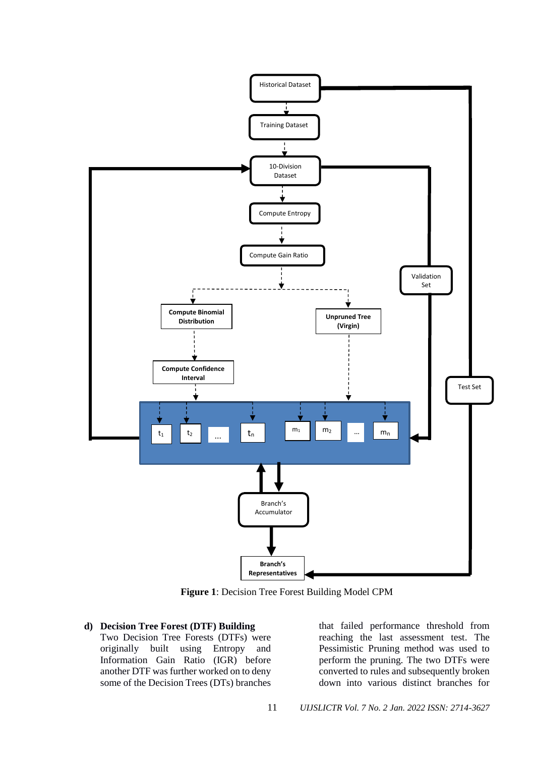

**Figure 1**: Decision Tree Forest Building Model CPM

#### **d) Decision Tree Forest (DTF) Building**

Two Decision Tree Forests (DTFs) were originally built using Entropy and Information Gain Ratio (IGR) before another DTF was further worked on to deny some of the Decision Trees (DTs) branches that failed performance threshold from reaching the last assessment test. The Pessimistic Pruning method was used to perform the pruning. The two DTFs were converted to rules and subsequently broken down into various distinct branches for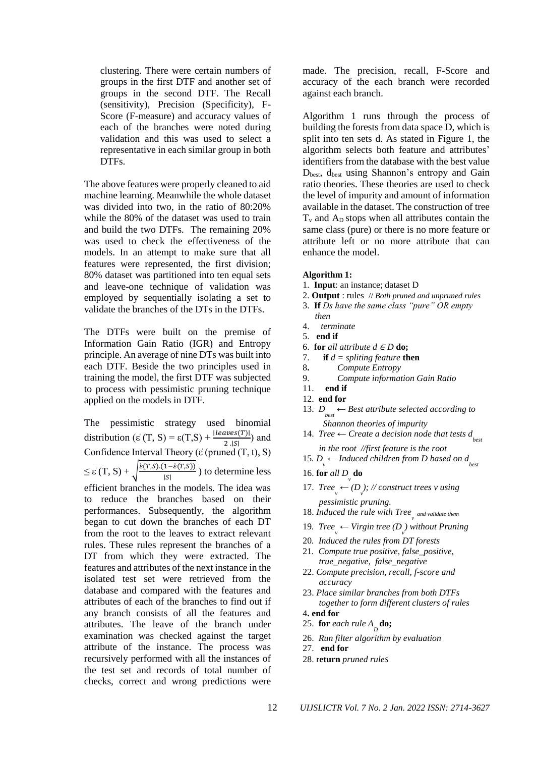clustering. There were certain numbers of groups in the first DTF and another set of groups in the second DTF. The Recall (sensitivity), Precision (Specificity), F-Score (F-measure) and accuracy values of each of the branches were noted during validation and this was used to select a representative in each similar group in both DTFs.

The above features were properly cleaned to aid machine learning. Meanwhile the whole dataset was divided into two, in the ratio of 80:20% while the 80% of the dataset was used to train and build the two DTFs. The remaining 20% was used to check the effectiveness of the models. In an attempt to make sure that all features were represented, the first division; 80% dataset was partitioned into ten equal sets and leave-one technique of validation was employed by sequentially isolating a set to validate the branches of the DTs in the DTFs.

The DTFs were built on the premise of Information Gain Ratio (IGR) and Entropy principle. An average of nine DTs was built into each DTF. Beside the two principles used in training the model, the first DTF was subjected to process with pessimistic pruning technique applied on the models in DTF.

The pessimistic strategy used binomial distribution ( $\varepsilon'$  (T, S) =  $\varepsilon$ (T,S) +  $\frac{leaves(T)|}{2.|S|}$  and Confidence Interval Theory (ε $(p$ runed  $(T, t), S$ )  $\leq \varepsilon'(T, S) + \int \frac{\dot{\varepsilon}(T, S) \cdot (1 - \dot{\varepsilon}(T, S))}{|S|}$  $\frac{1-e(1,3)}{|S|}$ ) to determine less efficient branches in the models. The idea was to reduce the branches based on their performances. Subsequently, the algorithm began to cut down the branches of each DT from the root to the leaves to extract relevant rules. These rules represent the branches of a DT from which they were extracted. The features and attributes of the next instance in the isolated test set were retrieved from the database and compared with the features and attributes of each of the branches to find out if any branch consists of all the features and attributes. The leave of the branch under examination was checked against the target attribute of the instance. The process was recursively performed with all the instances of the test set and records of total number of checks, correct and wrong predictions were

made. The precision, recall, F-Score and accuracy of the each branch were recorded against each branch.

Algorithm 1 runs through the process of building the forests from data space D, which is split into ten sets d. As stated in Figure 1, the algorithm selects both feature and attributes' identifiers from the database with the best value D<sub>best</sub>, d<sub>best</sub> using Shannon's entropy and Gain ratio theories. These theories are used to check the level of impurity and amount of information available in the dataset. The construction of tree  $T<sub>v</sub>$  and  $A<sub>D</sub>$  stops when all attributes contain the same class (pure) or there is no more feature or attribute left or no more attribute that can enhance the model.

#### **Algorithm 1:**

- 1. **Input**: an instance; dataset D
- 2. **Output** : rules // *Both pruned and unpruned rules*
- 3. **If** *Ds have the same class "pure" OR empty then*
- 4. *terminate*
- 5. **end if**
- 6. **for** *all attribute*  $d \in D$  **do;**
- 7. **if** *d = spliting feature* **then**
- 8**.** *Compute Entropy*
- 9. *Compute information Gain Ratio*
- 11. **end if**
- 12. **end for**
- 13. *D best ← Best attribute selected according to Shannon theories of impurity*
- 14. *Tree ← Create a decision node that tests d best in the root //first feature is the root*
- 15*.*  $D_{\mathbf{v}}$  ← *Induced children from D based on d*<sub>best</sub>
- 16. **for** *all*  $D$ <sub>*v*</sub> **do**
- 17. *Tree*  $\leftarrow$   $(D_{\nu})$ ; // construct trees v using *pessimistic pruning.*
- 18. *Induced the rule with Tree*<sub> $v$ </sub> and validate them
- 19. *Tree*<sub>γ</sub> ← *Virgin tree* ( $D_{\nu}$ ) *without Pruning*
- 20*. Induced the rules from DT forests*
- 21*. Compute true positive, false\_positive, true\_negative, false\_negative*
- 22. *Compute precision, recall, f-score and accuracy*
- 23. *Place similar branches from both DTFs together to form different clusters of rules*
- 4**. end for**
- 25. **for** *each rule*  $A_{D}$ **do;**
- 26. *Run filter algorithm by evaluation*
- 27. **end for**
- 28. r**eturn** *pruned rules*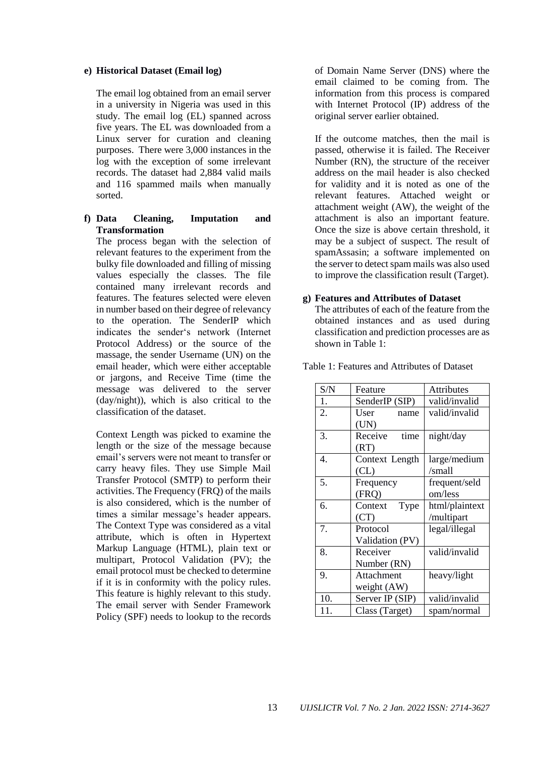#### **e) Historical Dataset (Email log)**

The email log obtained from an email server in a university in Nigeria was used in this study. The email log (EL) spanned across five years. The EL was downloaded from a Linux server for curation and cleaning purposes. There were 3,000 instances in the log with the exception of some irrelevant records. The dataset had 2,884 valid mails and 116 spammed mails when manually sorted.

### **f) Data Cleaning, Imputation and Transformation**

The process began with the selection of relevant features to the experiment from the bulky file downloaded and filling of missing values especially the classes. The file contained many irrelevant records and features. The features selected were eleven in number based on their degree of relevancy to the operation. The SenderIP which indicates the sender's network (Internet Protocol Address) or the source of the massage, the sender Username (UN) on the email header, which were either acceptable or jargons, and Receive Time (time the message was delivered to the server (day/night)), which is also critical to the classification of the dataset.

Context Length was picked to examine the length or the size of the message because email's servers were not meant to transfer or carry heavy files. They use Simple Mail Transfer Protocol (SMTP) to perform their activities. The Frequency (FRQ) of the mails is also considered, which is the number of times a similar message's header appears. The Context Type was considered as a vital attribute, which is often in Hypertext Markup Language (HTML), plain text or multipart, Protocol Validation (PV); the email protocol must be checked to determine if it is in conformity with the policy rules. This feature is highly relevant to this study. The email server with Sender Framework Policy (SPF) needs to lookup to the records

of Domain Name Server (DNS) where the email claimed to be coming from. The information from this process is compared with Internet Protocol (IP) address of the original server earlier obtained.

If the outcome matches, then the mail is passed, otherwise it is failed. The Receiver Number (RN), the structure of the receiver address on the mail header is also checked for validity and it is noted as one of the relevant features. Attached weight or attachment weight (AW), the weight of the attachment is also an important feature. Once the size is above certain threshold, it may be a subject of suspect. The result of spamAssasin; a software implemented on the server to detect spam mails was also used to improve the classification result (Target).

#### **g) Features and Attributes of Dataset**

The attributes of each of the feature from the obtained instances and as used during classification and prediction processes are as shown in Table 1:

Table 1: Features and Attributes of Dataset

| S/N | Feature         | Attributes     |
|-----|-----------------|----------------|
| 1.  | SenderIP (SIP)  | valid/invalid  |
| 2.  | User<br>name    | valid/invalid  |
|     | (UN)            |                |
| 3.  | Receive<br>time | night/day      |
|     | (RT)            |                |
| 4.  | Context Length  | large/medium   |
|     | CL)             | /small         |
| 5.  | Frequency       | frequent/seld  |
|     | (FRO)           | om/less        |
| 6.  | Context<br>Type | html/plaintext |
|     | (CT)            | /multipart     |
| 7.  | Protocol        | legal/illegal  |
|     | Validation (PV) |                |
| 8.  | Receiver        | valid/invalid  |
|     | Number (RN)     |                |
| 9.  | Attachment      | heavy/light    |
|     | weight (AW)     |                |
| 10. | Server IP (SIP) | valid/invalid  |
| 11. | Class (Target)  | spam/normal    |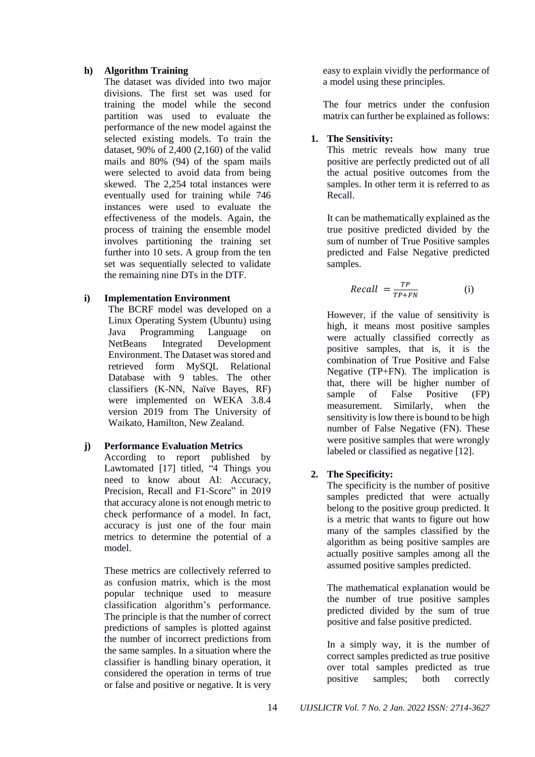### **h) Algorithm Training**

The dataset was divided into two major divisions. The first set was used for training the model while the second partition was used to evaluate the performance of the new model against the selected existing models. To train the dataset, 90% of 2,400 (2,160) of the valid mails and 80% (94) of the spam mails were selected to avoid data from being skewed. The 2,254 total instances were eventually used for training while 746 instances were used to evaluate the effectiveness of the models. Again, the process of training the ensemble model involves partitioning the training set further into 10 sets. A group from the ten set was sequentially selected to validate the remaining nine DTs in the DTF.

### **i) Implementation Environment**

The BCRF model was developed on a Linux Operating System (Ubuntu) using Java Programming Language on NetBeans Integrated Development Environment. The Dataset was stored and retrieved form MySQL Relational Database with 9 tables. The other classifiers (K-NN, Naïve Bayes, RF) were implemented on WEKA 3.8.4 version 2019 from The University of Waikato, Hamilton, New Zealand.

### **j) Performance Evaluation Metrics**

According to report published by Lawtomated [17] titled, "4 Things you need to know about AI: Accuracy, Precision, Recall and F1-Score" in 2019 that accuracy alone is not enough metric to check performance of a model. In fact, accuracy is just one of the four main metrics to determine the potential of a model.

These metrics are collectively referred to as confusion matrix, which is the most popular technique used to measure classification algorithm's performance. The principle is that the number of correct predictions of samples is plotted against the number of incorrect predictions from the same samples. In a situation where the classifier is handling binary operation, it considered the operation in terms of true or false and positive or negative. It is very easy to explain vividly the performance of a model using these principles.

The four metrics under the confusion matrix can further be explained as follows:

# **1. The Sensitivity:**

This metric reveals how many true positive are perfectly predicted out of all the actual positive outcomes from the samples. In other term it is referred to as Recall.

It can be mathematically explained as the true positive predicted divided by the sum of number of True Positive samples predicted and False Negative predicted samples.

$$
Recall = \frac{TP}{TP + FN}
$$
 (i)

However, if the value of sensitivity is high, it means most positive samples were actually classified correctly as positive samples, that is, it is the combination of True Positive and False Negative (TP+FN). The implication is that, there will be higher number of sample of False Positive (FP) measurement. Similarly, when the sensitivity is low there is bound to be high number of False Negative (FN). These were positive samples that were wrongly labeled or classified as negative [12].

# **2. The Specificity:**

The specificity is the number of positive samples predicted that were actually belong to the positive group predicted. It is a metric that wants to figure out how many of the samples classified by the algorithm as being positive samples are actually positive samples among all the assumed positive samples predicted.

The mathematical explanation would be the number of true positive samples predicted divided by the sum of true positive and false positive predicted.

In a simply way, it is the number of correct samples predicted as true positive over total samples predicted as true positive samples; both correctly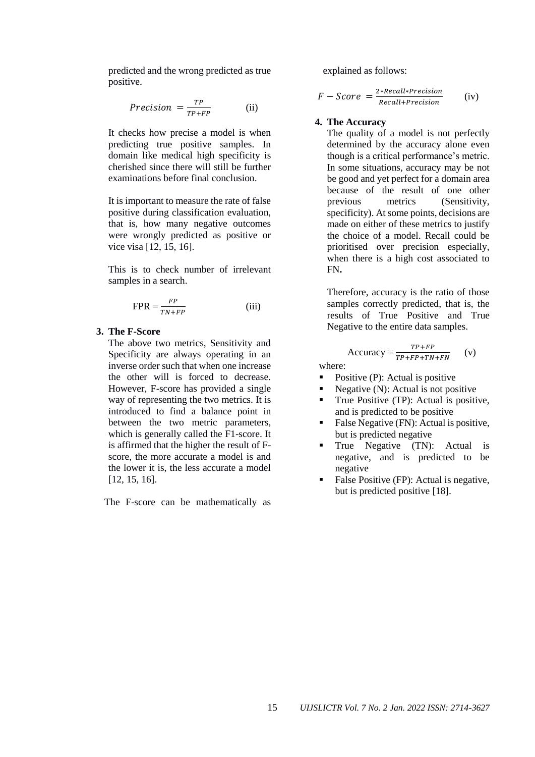predicted and the wrong predicted as true positive.

$$
Precision = \frac{TP}{TP + FP}
$$
 (ii)

It checks how precise a model is when predicting true positive samples. In domain like medical high specificity is cherished since there will still be further examinations before final conclusion.

It is important to measure the rate of false positive during classification evaluation, that is, how many negative outcomes were wrongly predicted as positive or vice visa [12, 15, 16].

This is to check number of irrelevant samples in a search.

$$
FPR = \frac{FP}{TN + FP}
$$
 (iii)

# **3. The F-Score**

The above two metrics, Sensitivity and Specificity are always operating in an inverse order such that when one increase the other will is forced to decrease. However, F-score has provided a single way of representing the two metrics. It is introduced to find a balance point in between the two metric parameters, which is generally called the F1-score. It is affirmed that the higher the result of Fscore, the more accurate a model is and the lower it is, the less accurate a model [12, 15, 16].

The F-score can be mathematically as

explained as follows:

$$
F-Score = \frac{2*Recall*Precision}{Recall+Precision}
$$
 (iv)

#### **4. The Accuracy**

The quality of a model is not perfectly determined by the accuracy alone even though is a critical performance's metric. In some situations, accuracy may be not be good and yet perfect for a domain area because of the result of one other previous metrics (Sensitivity, specificity). At some points, decisions are made on either of these metrics to justify the choice of a model. Recall could be prioritised over precision especially, when there is a high cost associated to FN**.**

Therefore, accuracy is the ratio of those samples correctly predicted, that is, the results of True Positive and True Negative to the entire data samples.

$$
Accuracy = \frac{TP + FP}{TP + FP + TN + FN}
$$
 (v)

where:

- Positive (P): Actual is positive
- Negative (N): Actual is not positive
- True Positive (TP): Actual is positive, and is predicted to be positive
- False Negative (FN): Actual is positive, but is predicted negative
- True Negative (TN): Actual is negative, and is predicted to be negative
- False Positive (FP): Actual is negative, but is predicted positive [18].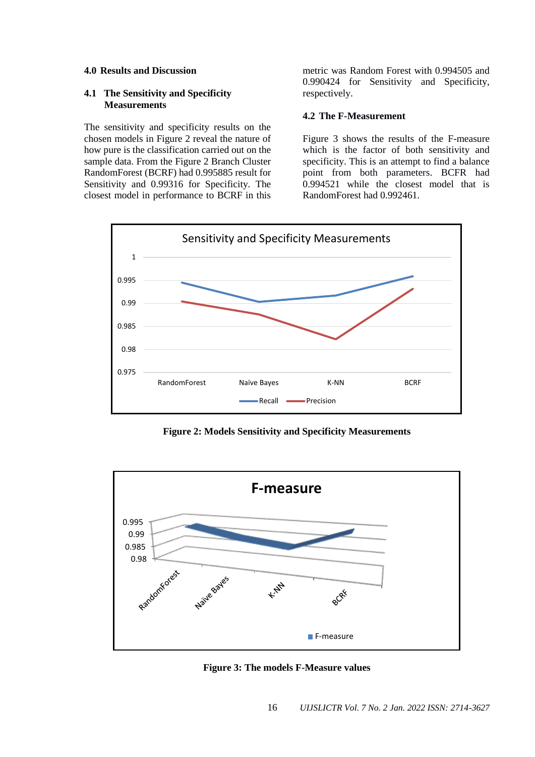#### **4.0 Results and Discussion**

#### **4.1 The Sensitivity and Specificity Measurements**

The sensitivity and specificity results on the chosen models in Figure 2 reveal the nature of how pure is the classification carried out on the sample data. From the Figure 2 Branch Cluster RandomForest (BCRF) had 0.995885 result for Sensitivity and 0.99316 for Specificity. The closest model in performance to BCRF in this

metric was Random Forest with 0.994505 and 0.990424 for Sensitivity and Specificity, respectively.

### **4.2 The F-Measurement**

Figure 3 shows the results of the F-measure which is the factor of both sensitivity and specificity. This is an attempt to find a balance point from both parameters. BCFR had 0.994521 while the closest model that is RandomForest had 0.992461.



**Figure 2: Models Sensitivity and Specificity Measurements**



**Figure 3: The models F-Measure values**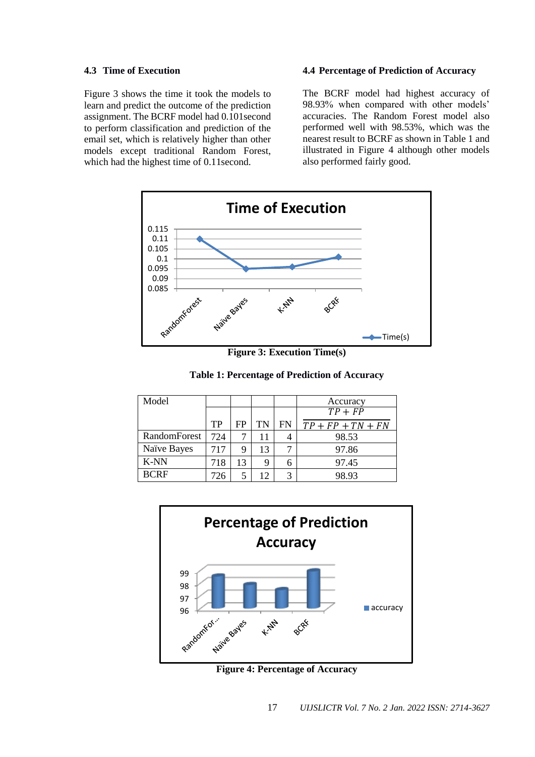#### **4.3 Time of Execution**

Figure 3 shows the time it took the models to learn and predict the outcome of the prediction assignment. The BCRF model had 0.101second to perform classification and prediction of the email set, which is relatively higher than other models except traditional Random Forest, which had the highest time of 0.11second.

#### **4.4 Percentage of Prediction of Accuracy**

The BCRF model had highest accuracy of 98.93% when compared with other models' accuracies. The Random Forest model also performed well with 98.53%, which was the nearest result to BCRF as shown in Table 1 and illustrated in Figure 4 although other models also performed fairly good.



**Figure 3: Execution Time(s)**

**Table 1: Percentage of Prediction of Accuracy**

| Model        |     |    |    |    | Accuracy            |
|--------------|-----|----|----|----|---------------------|
|              |     |    |    |    | $TP + FP$           |
|              | TP  | FP | TN | FN | $TP + FP + TN + FN$ |
| RandomForest | 724 |    | 11 |    | 98.53               |
| Naïve Bayes  | 717 | 9  | 13 |    | 97.86               |
| K-NN         | 718 | 13 |    | h  | 97.45               |
| <b>BCRF</b>  | 726 | 5  | 12 |    | 98.93               |



**Figure 4: Percentage of Accuracy**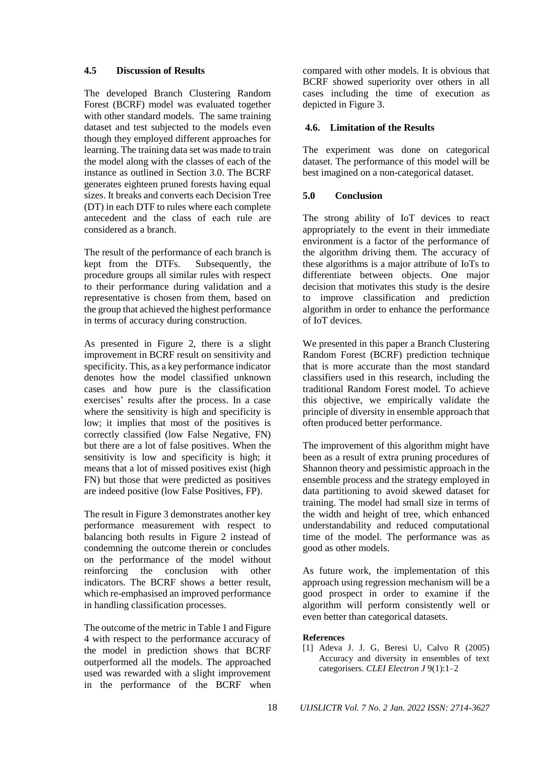### **4.5 Discussion of Results**

The developed Branch Clustering Random Forest (BCRF) model was evaluated together with other standard models. The same training dataset and test subjected to the models even though they employed different approaches for learning. The training data set was made to train the model along with the classes of each of the instance as outlined in Section 3.0. The BCRF generates eighteen pruned forests having equal sizes. It breaks and converts each Decision Tree (DT) in each DTF to rules where each complete antecedent and the class of each rule are considered as a branch.

The result of the performance of each branch is kept from the DTFs. Subsequently, the procedure groups all similar rules with respect to their performance during validation and a representative is chosen from them, based on the group that achieved the highest performance in terms of accuracy during construction.

As presented in Figure 2, there is a slight improvement in BCRF result on sensitivity and specificity. This, as a key performance indicator denotes how the model classified unknown cases and how pure is the classification exercises' results after the process. In a case where the sensitivity is high and specificity is low; it implies that most of the positives is correctly classified (low False Negative, FN) but there are a lot of false positives. When the sensitivity is low and specificity is high; it means that a lot of missed positives exist (high FN) but those that were predicted as positives are indeed positive (low False Positives, FP).

The result in Figure 3 demonstrates another key performance measurement with respect to balancing both results in Figure 2 instead of condemning the outcome therein or concludes on the performance of the model without reinforcing the conclusion with other indicators. The BCRF shows a better result, which re-emphasised an improved performance in handling classification processes.

The outcome of the metric in Table 1 and Figure 4 with respect to the performance accuracy of the model in prediction shows that BCRF outperformed all the models. The approached used was rewarded with a slight improvement in the performance of the BCRF when compared with other models. It is obvious that BCRF showed superiority over others in all cases including the time of execution as depicted in Figure 3.

# **4.6. Limitation of the Results**

The experiment was done on categorical dataset. The performance of this model will be best imagined on a non-categorical dataset.

# **5.0 Conclusion**

The strong ability of IoT devices to react appropriately to the event in their immediate environment is a factor of the performance of the algorithm driving them. The accuracy of these algorithms is a major attribute of IoTs to differentiate between objects. One major decision that motivates this study is the desire to improve classification and prediction algorithm in order to enhance the performance of IoT devices.

We presented in this paper a Branch Clustering Random Forest (BCRF) prediction technique that is more accurate than the most standard classifiers used in this research, including the traditional Random Forest model. To achieve this objective, we empirically validate the principle of diversity in ensemble approach that often produced better performance.

The improvement of this algorithm might have been as a result of extra pruning procedures of Shannon theory and pessimistic approach in the ensemble process and the strategy employed in data partitioning to avoid skewed dataset for training. The model had small size in terms of the width and height of tree, which enhanced understandability and reduced computational time of the model. The performance was as good as other models.

As future work, the implementation of this approach using regression mechanism will be a good prospect in order to examine if the algorithm will perform consistently well or even better than categorical datasets.

### **References**

[1] Adeva J. J. G, Beresi U, Calvo R (2005) Accuracy and diversity in ensembles of text categorisers. *CLEI Electron J* 9(1):1–2